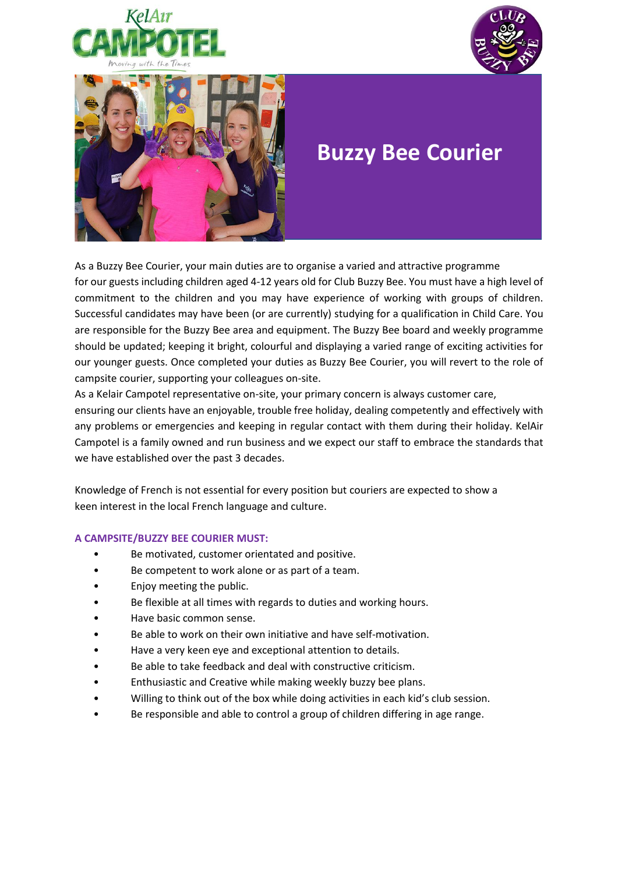





## **Buzzy Bee Courier**

As a Buzzy Bee Courier, your main duties are to organise a varied and attractive programme for our guests including children aged 4-12 years old for Club Buzzy Bee. You must have a high level of commitment to the children and you may have experience of working with groups of children. Successful candidates may have been (or are currently) studying for a qualification in Child Care. You are responsible for the Buzzy Bee area and equipment. The Buzzy Bee board and weekly programme should be updated; keeping it bright, colourful and displaying a varied range of exciting activities for our younger guests. Once completed your duties as Buzzy Bee Courier, you will revert to the role of campsite courier, supporting your colleagues on-site.

As a Kelair Campotel representative on-site, your primary concern is always customer care, ensuring our clients have an enjoyable, trouble free holiday, dealing competently and effectively with any problems or emergencies and keeping in regular contact with them during their holiday. KelAir Campotel is a family owned and run business and we expect our staff to embrace the standards that we have established over the past 3 decades.

Knowledge of French is not essential for every position but couriers are expected to show a keen interest in the local French language and culture.

## **A CAMPSITE/BUZZY BEE COURIER MUST:**

- Be motivated, customer orientated and positive.
- Be competent to work alone or as part of a team.
- Enjoy meeting the public.
- Be flexible at all times with regards to duties and working hours.
- Have basic common sense.
- Be able to work on their own initiative and have self-motivation.
- Have a very keen eye and exceptional attention to details.
- Be able to take feedback and deal with constructive criticism.
- Enthusiastic and Creative while making weekly buzzy bee plans.
- Willing to think out of the box while doing activities in each kid's club session.
- Be responsible and able to control a group of children differing in age range.